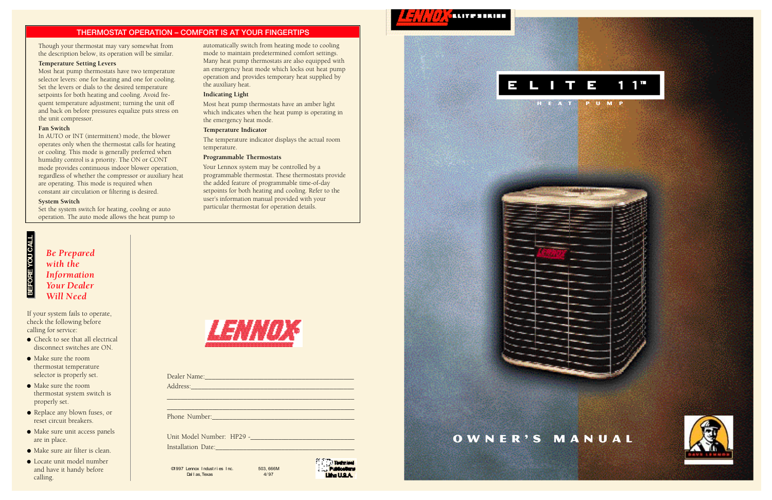

Though your thermostat may vary somewhat from the description below, its operation will be similar.

#### **Temperature Setting Levers**

Most heat pump thermostats have two temperature selector levers: one for heating and one for cooling. Set the levers or dials to the desired temperature setpoints for both heating and cooling. Avoid frequent temperature adjustment; turning the unit off and back on before pressures equalize puts stress on the unit compressor.

#### **Fan Switch**

In AUTO or INT (intermittent) mode, the blower operates only when the thermostat calls for heating or cooling. This mode is generally preferred when humidity control is a priority. The ON or CONT mode provides continuous indoor blower operation, regardless of whether the compressor or auxiliary heat are operating. This mode is required when constant air circulation or filtering is desired.

#### **System Switch**

Set the system switch for heating, cooling or auto operation. The auto mode allows the heat pump to

automatically switch from heating mode to cooling mode to maintain predetermined comfort settings. Many heat pump thermostats are also equipped with an emergency heat mode which locks out heat pump operation and provides temporary heat supplied by the auxiliary heat.

- $\bullet$  Check to see that all electrical disconnect switches are ON.
- Make sure the room thermostat temperature selector is properly set.
- Make sure the roomthermostat system switch is properly set.
- Replace any blown fuses, or reset circuit breakers.
- Make sure unit access panels are in place.
- Make sure air filter is clean.
- Locate unit model number and have it handy before calling.



#### **Indicating Light**

Most heat pump thermostats have an amber light which indicates when the heat pump is operating in the emergency heat mode.

©1997 Lennox Industries Inc. Dal l as,Texas



#### **Temperature Indicator**

The temperature indicator displays the actual room temperature.

#### **Programmable Thermostats**

Your Lennox system may be controlled by a programmable thermostat. These thermostats provide the added feature of programmable time-of-day setpoints for both heating and cooling. Refer to the user's information manual provided with your particular thermostat for operation details.



#### THERMOSTAT OPERATION – COMFORT IS AT YOUR FINGERTIPS

*Be Prepared with theInformation Your Dealer Will Need*

If your system fails to operate, check the following before calling for service:

| <u> 1989 - Johann John Stone, markin f</u> |
|--------------------------------------------|
|                                            |
|                                            |
|                                            |
|                                            |
|                                            |
|                                            |

503, 666M 4/ 97